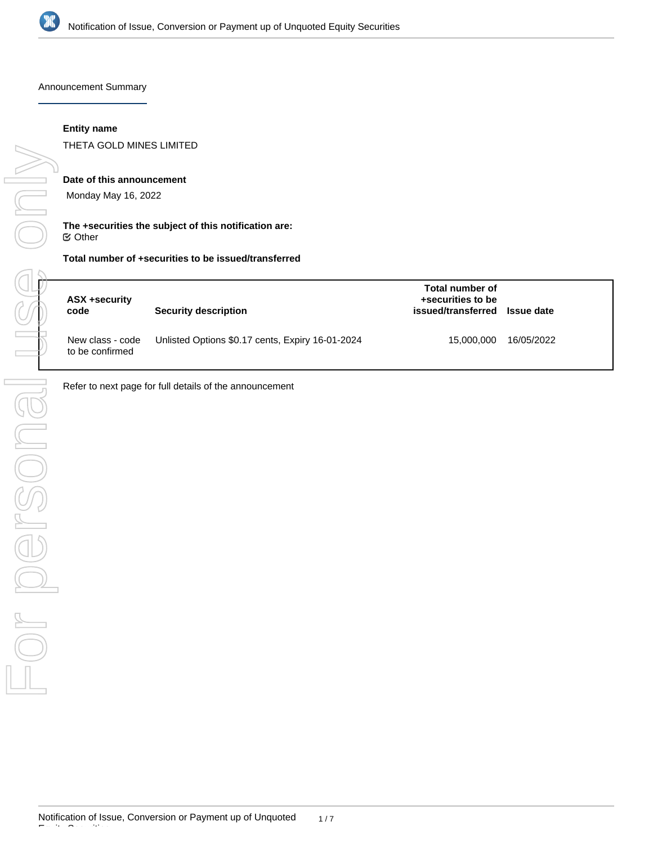

Announcement Summary

### **Entity name**

THETA GOLD MINES LIMITED

### **Date of this announcement**

Monday May 16, 2022

### **The +securities the subject of this notification are:** Other

### **Total number of +securities to be issued/transferred**

| ASX +security<br>code               | Security description                             | Total number of<br>+securities to be<br>issued/transferred Issue date |            |
|-------------------------------------|--------------------------------------------------|-----------------------------------------------------------------------|------------|
| New class - code<br>to be confirmed | Unlisted Options \$0.17 cents, Expiry 16-01-2024 | 15.000.000                                                            | 16/05/2022 |

Refer to next page for full details of the announcement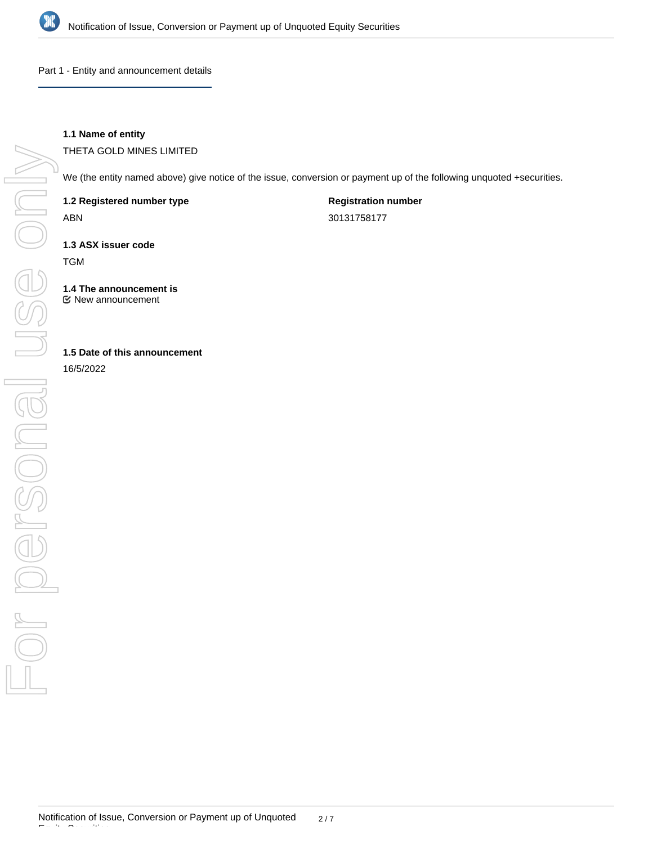

Part 1 - Entity and announcement details

# **1.1 Name of entity**

THETA GOLD MINES LIMITED

We (the entity named above) give notice of the issue, conversion or payment up of the following unquoted +securities.

**1.2 Registered number type**

ABN

**Registration number** 30131758177

**1.3 ASX issuer code**

TGM

**1.4 The announcement is** New announcement

# **1.5 Date of this announcement**

16/5/2022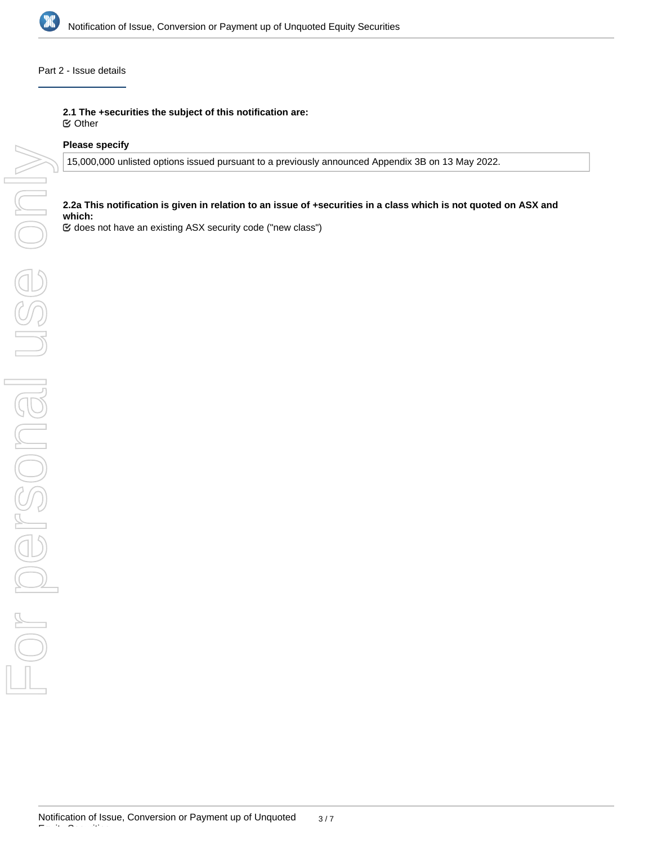

### Part 2 - Issue details

**2.1 The +securities the subject of this notification are:**

Other

# **Please specify**

15,000,000 unlisted options issued pursuant to a previously announced Appendix 3B on 13 May 2022.

# **2.2a This notification is given in relation to an issue of +securities in a class which is not quoted on ASX and which:**

does not have an existing ASX security code ("new class")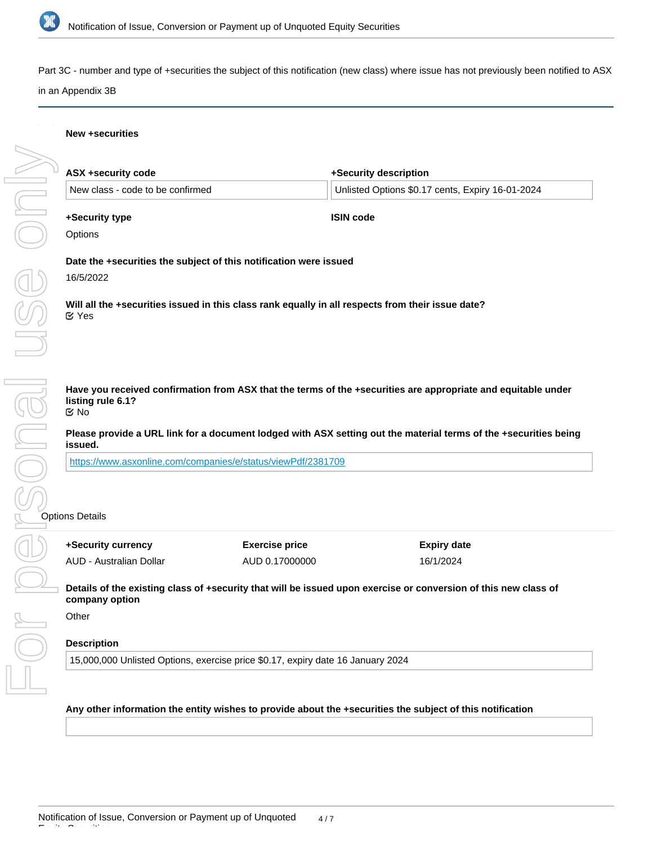

Part 3C - number and type of +securities the subject of this notification (new class) where issue has not previously been notified to ASX in an Appendix 3B

**+Security description**

### **New +securities**

**ASX +security code**

| +Security currency               | <b>Exercise price</b>                                                                             | <b>Expiry date</b>                                                                                               |
|----------------------------------|---------------------------------------------------------------------------------------------------|------------------------------------------------------------------------------------------------------------------|
| ions Details                     |                                                                                                   |                                                                                                                  |
|                                  |                                                                                                   |                                                                                                                  |
|                                  | https://www.asxonline.com/companies/e/status/viewPdf/2381709                                      |                                                                                                                  |
| issued.                          |                                                                                                   | Please provide a URL link for a document lodged with ASX setting out the material terms of the +securities being |
| listing rule 6.1?<br>ত No        |                                                                                                   | Have you received confirmation from ASX that the terms of the +securities are appropriate and equitable under    |
|                                  |                                                                                                   |                                                                                                                  |
| <b>M</b> Yes                     | Will all the +securities issued in this class rank equally in all respects from their issue date? |                                                                                                                  |
| 16/5/2022                        |                                                                                                   |                                                                                                                  |
|                                  | Date the +securities the subject of this notification were issued                                 |                                                                                                                  |
| Options                          |                                                                                                   |                                                                                                                  |
| +Security type                   |                                                                                                   | <b>ISIN code</b>                                                                                                 |
| New class - code to be confirmed |                                                                                                   | Unlisted Options \$0.17 cents, Expiry 16-01-2024                                                                 |

**Details of the existing class of +security that will be issued upon exercise or conversion of this new class of company option**

16/1/2024

AUD 0.17000000

**Other** 

# **Description**

AUD - Australian Dollar

15,000,000 Unlisted Options, exercise price \$0.17, expiry date 16 January 2024

**Any other information the entity wishes to provide about the +securities the subject of this notification**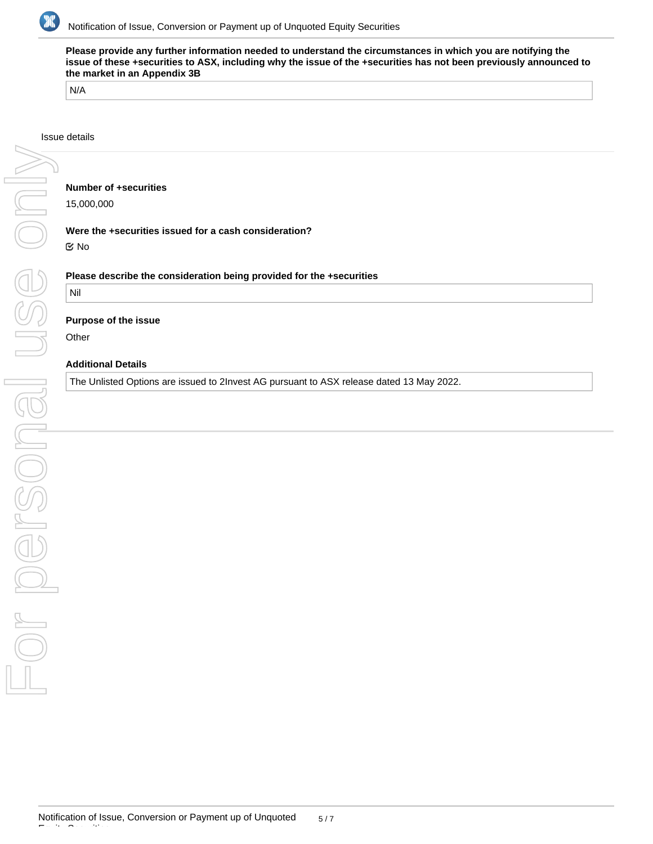

**Please provide any further information needed to understand the circumstances in which you are notifying the issue of these +securities to ASX, including why the issue of the +securities has not been previously announced to the market in an Appendix 3B**

N/A

#### Issue details

### **Number of +securities**

15,000,000

#### **Were the +securities issued for a cash consideration?**

No

### **Please describe the consideration being provided for the +securities**

# Nil

#### **Purpose of the issue**

**Other** 

# **Additional Details**

The Unlisted Options are issued to 2Invest AG pursuant to ASX release dated 13 May 2022.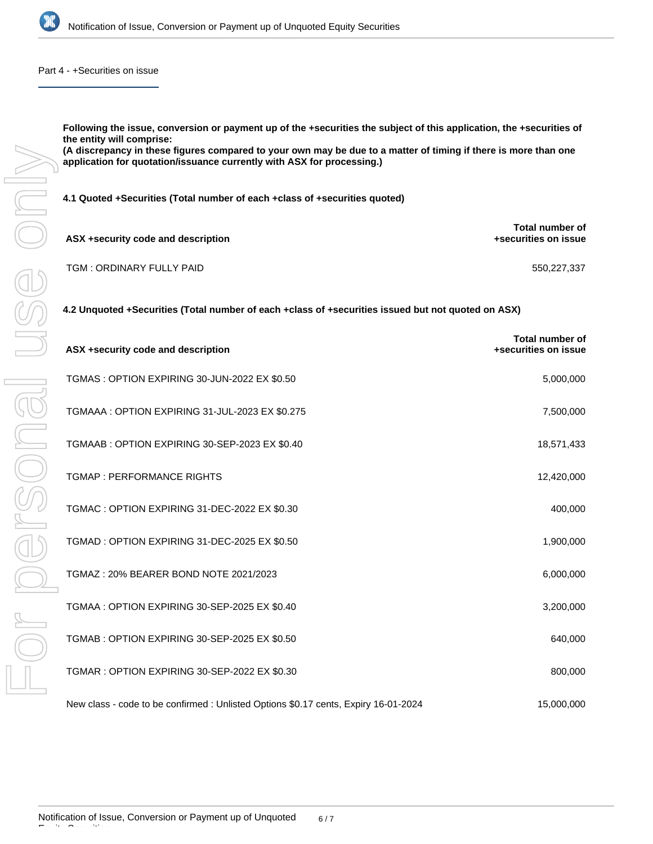

Part 4 - +Securities on issue

**Following the issue, conversion or payment up of the +securities the subject of this application, the +securities of the entity will comprise:**

**(A discrepancy in these figures compared to your own may be due to a matter of timing if there is more than one application for quotation/issuance currently with ASX for processing.)**

**4.1 Quoted +Securities (Total number of each +class of +securities quoted)**

| ASX +security code and description | Total number of<br>+securities on issue |
|------------------------------------|-----------------------------------------|
| TGM: ORDINARY FULLY PAID           | 550.227.337                             |

**4.2 Unquoted +Securities (Total number of each +class of +securities issued but not quoted on ASX)**

| ASX +security code and description                                                  | <b>Total number of</b><br>+securities on issue |
|-------------------------------------------------------------------------------------|------------------------------------------------|
| TGMAS: OPTION EXPIRING 30-JUN-2022 EX \$0.50                                        | 5,000,000                                      |
| TGMAAA: OPTION EXPIRING 31-JUL-2023 EX \$0.275                                      | 7,500,000                                      |
| TGMAAB: OPTION EXPIRING 30-SEP-2023 EX \$0.40                                       | 18,571,433                                     |
| <b>TGMAP: PERFORMANCE RIGHTS</b>                                                    | 12,420,000                                     |
| TGMAC: OPTION EXPIRING 31-DEC-2022 EX \$0.30                                        | 400,000                                        |
| TGMAD: OPTION EXPIRING 31-DEC-2025 EX \$0.50                                        | 1,900,000                                      |
| TGMAZ: 20% BEARER BOND NOTE 2021/2023                                               | 6,000,000                                      |
| TGMAA: OPTION EXPIRING 30-SEP-2025 EX \$0.40                                        | 3,200,000                                      |
| TGMAB: OPTION EXPIRING 30-SEP-2025 EX \$0.50                                        | 640,000                                        |
| TGMAR: OPTION EXPIRING 30-SEP-2022 EX \$0.30                                        | 800,000                                        |
| New class - code to be confirmed : Unlisted Options \$0.17 cents, Expiry 16-01-2024 | 15,000,000                                     |